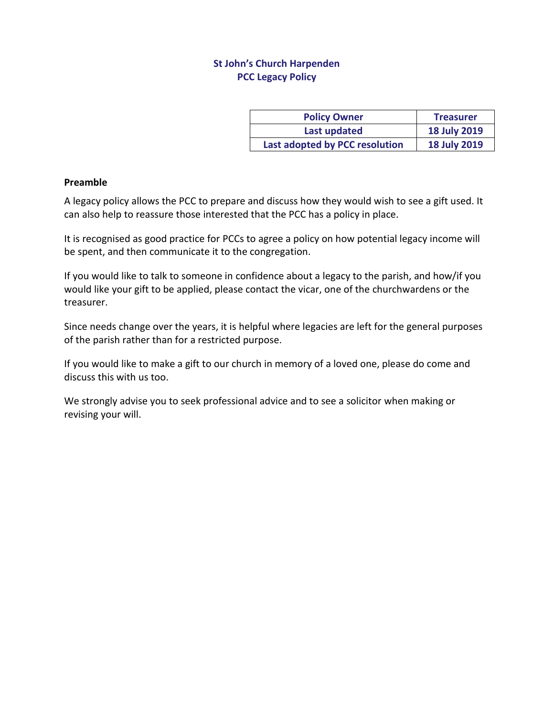## **St John's Church Harpenden PCC Legacy Policy**

| <b>Policy Owner</b>            | <b>Treasurer</b>    |
|--------------------------------|---------------------|
| Last updated                   | <b>18 July 2019</b> |
| Last adopted by PCC resolution | <b>18 July 2019</b> |

## **Preamble**

A legacy policy allows the PCC to prepare and discuss how they would wish to see a gift used. It can also help to reassure those interested that the PCC has a policy in place.

It is recognised as good practice for PCCs to agree a policy on how potential legacy income will be spent, and then communicate it to the congregation.

If you would like to talk to someone in confidence about a legacy to the parish, and how/if you would like your gift to be applied, please contact the vicar, one of the churchwardens or the treasurer.

Since needs change over the years, it is helpful where legacies are left for the general purposes of the parish rather than for a restricted purpose.

If you would like to make a gift to our church in memory of a loved one, please do come and discuss this with us too.

We strongly advise you to seek professional advice and to see a solicitor when making or revising your will.